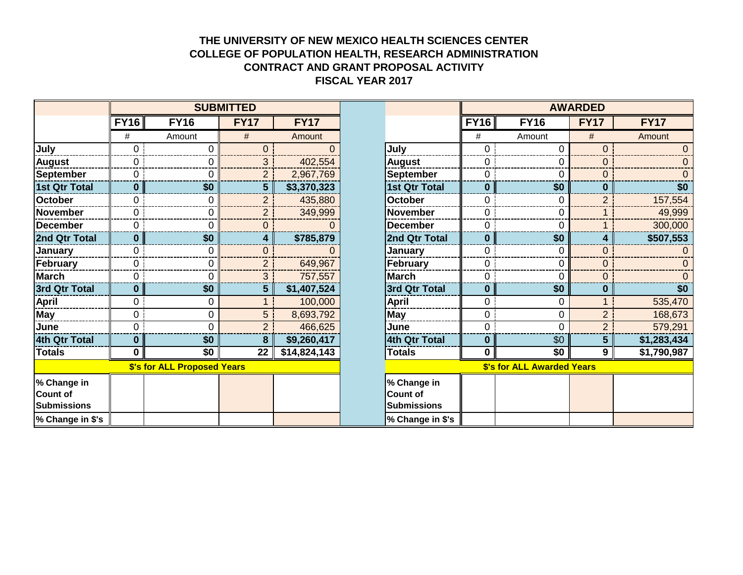## **THE UNIVERSITY OF NEW MEXICO HEALTH SCIENCES CENTER COLLEGE OF POPULATION HEALTH, RESEARCH ADMINISTRATION CONTRACT AND GRANT PROPOSAL ACTIVITY FISCAL YEAR 2017**

|                             | <b>SUBMITTED</b> |                |                |              |                      | <b>AWARDED</b>                    |                |                |             |
|-----------------------------|------------------|----------------|----------------|--------------|----------------------|-----------------------------------|----------------|----------------|-------------|
|                             | <b>FY16</b>      | <b>FY16</b>    | <b>FY17</b>    | <b>FY17</b>  |                      | <b>FY16</b>                       | <b>FY16</b>    | <b>FY17</b>    | <b>FY17</b> |
|                             | #                | Amount         | #              | Amount       |                      | #                                 | Amount         | #              | Amount      |
| July                        | 0                | $\overline{0}$ | $\Omega$       |              | July                 | $\overline{0}$                    | 0              | 0              |             |
| <b>August</b>               | 0                | 0              | 3              | 402,554      | <b>August</b>        | $\mathbf 0$                       | 0              | 0              |             |
| <b>September</b>            | 0                | 0              | $\overline{2}$ | 2,967,769    | <b>September</b>     | 0                                 | 0              | 0              |             |
| 1st Qtr Total               | 0                | \$0            | $5\phantom{1}$ | \$3,370,323  | <b>1st Qtr Total</b> | $\mathbf{0}$                      | \$0            | $\bf{0}$       | \$0         |
| <b>October</b>              | 0                | 0              | $\overline{2}$ | 435,880      | <b>October</b>       | 0                                 | 0              | $\overline{2}$ | 157,554     |
| <b>November</b>             | 0                | 0              | $\overline{2}$ | 349,999      | <b>November</b>      | 0                                 | 0              |                | 49,999      |
| <b>December</b>             | 0                | 0              | $\overline{0}$ |              | <b>December</b>      | $\overline{0}$                    | $\Omega$       |                | 300,000     |
| 2nd Qtr Total               | $\mathbf{0}$     | \$0            | 4              | \$785,879    | 2nd Qtr Total        | $\bf{0}$                          | \$0            | 4              | \$507,553   |
| January                     | $\Omega$         | 0              | $\Omega$       |              | <b>January</b>       | 0                                 | 0              | $\Omega$       |             |
| February                    | 0                | 0              | $\overline{2}$ | 649,967      | February             | 0                                 | 0              | $\Omega$       |             |
| <b>March</b>                | $\overline{0}$   | 0              | 3              | 757,557      | <b>March</b>         | $\overline{0}$                    | 0              | $\Omega$       |             |
| 3rd Qtr Total               | 0                | \$0            | 5              | \$1,407,524  | 3rd Qtr Total        | $\mathbf{0}$                      | \$0            | $\bf{0}$       | \$0         |
| <b>April</b>                | $\overline{0}$   | 0              |                | 100,000      | April                | $\overline{0}$                    | 0              |                | 535,470     |
| <b>May</b>                  | $\overline{0}$   | $\mathbf 0$    | 5              | 8,693,792    | <b>May</b>           | $\overline{0}$                    | $\mathbf 0$    | $\overline{2}$ | 168,673     |
| June                        | $\Omega$         | $\overline{0}$ | $\overline{2}$ | 466,625      | June                 | $\overline{0}$                    | $\overline{0}$ | $\overline{2}$ | 579,291     |
| 4th Qtr Total               | 0                | \$0            | 8              | \$9,260,417  | 4th Qtr Total        | $\mathbf{0}$                      | \$0            | 5 <sup>5</sup> | \$1,283,434 |
| <b>Totals</b>               | $\mathbf{0}$     | \$0            | 22             | \$14,824,143 | <b>Totals</b>        | $\mathbf 0$                       | \$0            | 9 <sup>1</sup> | \$1,790,987 |
| \$'s for ALL Proposed Years |                  |                |                |              |                      | <b>\$'s for ALL Awarded Years</b> |                |                |             |
| % Change in                 |                  |                |                |              | % Change in          |                                   |                |                |             |
| <b>Count of</b>             |                  |                |                |              | <b>Count of</b>      |                                   |                |                |             |
| <b>Submissions</b>          |                  |                |                |              | <b>Submissions</b>   |                                   |                |                |             |
| % Change in \$'s            |                  |                |                |              | % Change in \$'s     |                                   |                |                |             |

| <b>SUBMITTED</b>            |                |                |              |                                                      | <b>AWARDED</b>                    |                |                |             |
|-----------------------------|----------------|----------------|--------------|------------------------------------------------------|-----------------------------------|----------------|----------------|-------------|
| FY16                        | <b>FY16</b>    | <b>FY17</b>    | <b>FY17</b>  |                                                      | <b>FY16</b>                       | <b>FY16</b>    | <b>FY17</b>    | <b>FY17</b> |
| #                           | Amount         | #              | Amount       |                                                      | #                                 | Amount         | #              | Amount      |
| 0                           | $\mathbf 0$    | $\overline{0}$ |              | July                                                 | 0                                 | $\Omega$       | 0              | $\Omega$    |
| 0                           | $\mathbf 0$    | 3              | 402,554      | <b>August</b>                                        | 0                                 | 0              | $\mathbf 0$    | 0           |
| 0                           | $\mathbf 0$    | $\overline{2}$ | 2,967,769    | <b>September</b>                                     | 0                                 | $\Omega$       | $\mathbf 0$    | 0           |
| $\bf{0}$                    | \$0            | $5\phantom{1}$ | \$3,370,323  | <b>1st Qtr Total</b>                                 | $\bf{0}$                          | \$0            | $\bf{0}$       | \$0         |
| 0                           | $\overline{0}$ | $\overline{2}$ | 435,880      | <b>October</b>                                       | 0                                 | $\Omega$       | $\overline{2}$ | 157,554     |
| 0                           | 0              | $\overline{2}$ | 349,999      | <b>November</b>                                      | 0                                 | 0              |                | 49,999      |
| 0                           | $\overline{0}$ | 0              |              | <b>December</b>                                      | 0                                 | 0              |                | 300,000     |
| $\bf{0}$                    | \$0            | 4              | \$785,879    | 2nd Qtr Total                                        | $\bf{0}$                          | \$0            | 4              | \$507,553   |
| 0                           | 0              | 0              |              | January                                              | 0                                 | 0              | $\mathbf 0$    |             |
| 0                           | $\mathbf 0$    | $\overline{2}$ | 649,967      | <b>February</b>                                      | 0                                 | $\mathbf 0$    | $\mathbf 0$    | 0           |
| 0                           | $\overline{0}$ | 3              | 757,557      | <b>March</b>                                         | 0                                 | 0              | $\mathbf 0$    | 0           |
| $\bf{0}$                    | \$0            | 5              | \$1,407,524  | 3rd Qtr Total                                        | $\bf{0}$                          | \$0            | $\bf{0}$       | \$0         |
| 0                           | 0              |                | 100,000      | <b>April</b>                                         | 0                                 | 0              | 1              | 535,470     |
| 0                           | $\pmb{0}$      | 5              | 8,693,792    | <b>May</b>                                           | 0                                 | $\mathbf 0$    | $\overline{2}$ | 168,673     |
| 0                           | 0              | $\overline{2}$ | 466,625      | June                                                 | 0                                 | $\overline{0}$ | $\overline{2}$ | 579,291     |
| $\boldsymbol{0}$            | \$0            | 8              | \$9,260,417  | 4th Qtr Total                                        | $\bf{0}$                          | \$0            | $5\phantom{1}$ | \$1,283,434 |
| 0                           | \$0            | 22             | \$14,824,143 | <b>Totals</b>                                        | $\mathbf 0$                       | \$0            | $\mathbf{9}$   | \$1,790,987 |
| \$'s for ALL Proposed Years |                |                |              |                                                      | <b>\$'s for ALL Awarded Years</b> |                |                |             |
|                             |                |                |              | % Change in<br><b>Count of</b><br><b>Submissions</b> |                                   |                |                |             |
|                             |                |                |              | l% Change in \$'s                                    |                                   |                |                |             |